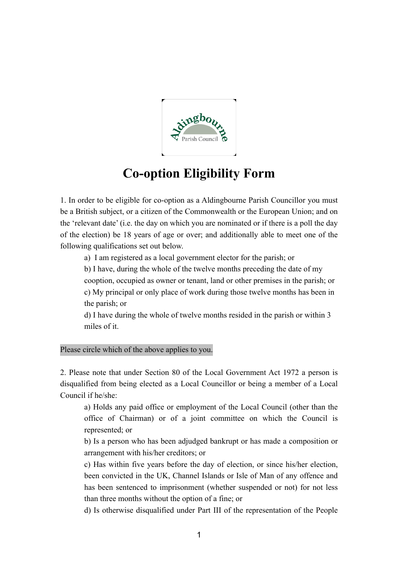

## **Co-option Eligibility Form**

1. In order to be eligible for co-option as a Aldingbourne Parish Councillor you must be a British subject, or a citizen of the Commonwealth or the European Union; and on the 'relevant date' (i.e. the day on which you are nominated or if there is a poll the day of the election) be 18 years of age or over; and additionally able to meet one of the following qualifications set out below.

a) I am registered as a local government elector for the parish; or

b) I have, during the whole of the twelve months preceding the date of my

cooption, occupied as owner or tenant, land or other premises in the parish; or c) My principal or only place of work during those twelve months has been in the parish; or

d) I have during the whole of twelve months resided in the parish or within 3 miles of it.

Please circle which of the above applies to you.

2. Please note that under Section 80 of the Local Government Act 1972 a person is disqualified from being elected as a Local Councillor or being a member of a Local Council if he/she:

a) Holds any paid office or employment of the Local Council (other than the office of Chairman) or of a joint committee on which the Council is represented; or

b) Is a person who has been adjudged bankrupt or has made a composition or arrangement with his/her creditors; or

c) Has within five years before the day of election, or since his/her election, been convicted in the UK, Channel Islands or Isle of Man of any offence and has been sentenced to imprisonment (whether suspended or not) for not less than three months without the option of a fine; or

d) Is otherwise disqualified under Part III of the representation of the People